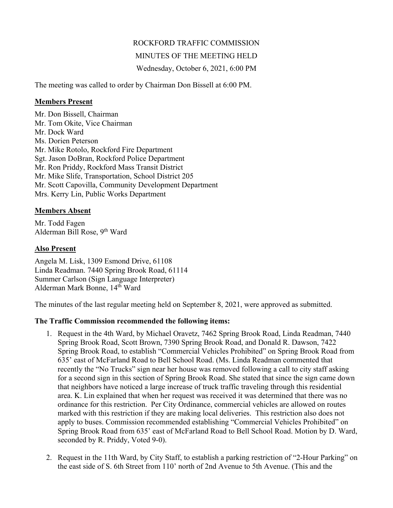# ROCKFORD TRAFFIC COMMISSION

### MINUTES OF THE MEETING HELD

Wednesday, October 6, 2021, 6:00 PM

The meeting was called to order by Chairman Don Bissell at 6:00 PM.

#### **Members Present**

Mr. Don Bissell, Chairman Mr. Tom Okite, Vice Chairman Mr. Dock Ward Ms. Dorien Peterson Mr. Mike Rotolo, Rockford Fire Department Sgt. Jason DoBran, Rockford Police Department Mr. Ron Priddy, Rockford Mass Transit District Mr. Mike Slife, Transportation, School District 205 Mr. Scott Capovilla, Community Development Department Mrs. Kerry Lin, Public Works Department

# **Members Absent**

Mr. Todd Fagen Alderman Bill Rose, 9<sup>th</sup> Ward

# **Also Present**

Angela M. Lisk, 1309 Esmond Drive, 61108 Linda Readman. 7440 Spring Brook Road, 61114 Summer Carlson (Sign Language Interpreter) Alderman Mark Bonne, 14th Ward

The minutes of the last regular meeting held on September 8, 2021, were approved as submitted.

# **The Traffic Commission recommended the following items:**

- 1. Request in the 4th Ward, by Michael Oravetz, 7462 Spring Brook Road, Linda Readman, 7440 Spring Brook Road, Scott Brown, 7390 Spring Brook Road, and Donald R. Dawson, 7422 Spring Brook Road, to establish "Commercial Vehicles Prohibited" on Spring Brook Road from 635' east of McFarland Road to Bell School Road. (Ms. Linda Readman commented that recently the "No Trucks" sign near her house was removed following a call to city staff asking for a second sign in this section of Spring Brook Road. She stated that since the sign came down that neighbors have noticed a large increase of truck traffic traveling through this residential area. K. Lin explained that when her request was received it was determined that there was no ordinance for this restriction. Per City Ordinance, commercial vehicles are allowed on routes marked with this restriction if they are making local deliveries. This restriction also does not apply to buses. Commission recommended establishing "Commercial Vehicles Prohibited" on Spring Brook Road from 635' east of McFarland Road to Bell School Road. Motion by D. Ward, seconded by R. Priddy, Voted 9-0).
- 2. Request in the 11th Ward, by City Staff, to establish a parking restriction of "2-Hour Parking" on the east side of S. 6th Street from 110' north of 2nd Avenue to 5th Avenue. (This and the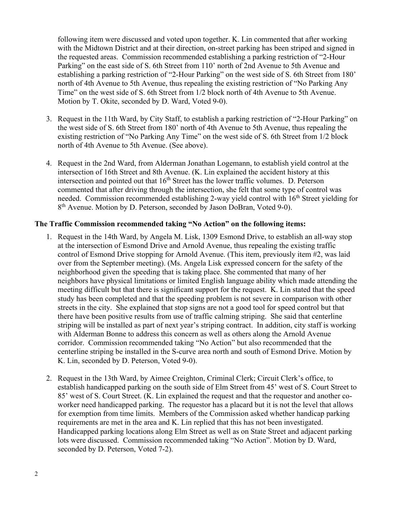following item were discussed and voted upon together. K. Lin commented that after working with the Midtown District and at their direction, on-street parking has been striped and signed in the requested areas. Commission recommended establishing a parking restriction of "2-Hour Parking" on the east side of S. 6th Street from 110' north of 2nd Avenue to 5th Avenue and establishing a parking restriction of "2-Hour Parking" on the west side of S. 6th Street from 180' north of 4th Avenue to 5th Avenue, thus repealing the existing restriction of "No Parking Any Time" on the west side of S. 6th Street from 1/2 block north of 4th Avenue to 5th Avenue. Motion by T. Okite, seconded by D. Ward, Voted 9-0).

- 3. Request in the 11th Ward, by City Staff, to establish a parking restriction of "2-Hour Parking" on the west side of S. 6th Street from 180' north of 4th Avenue to 5th Avenue, thus repealing the existing restriction of "No Parking Any Time" on the west side of S. 6th Street from 1/2 block north of 4th Avenue to 5th Avenue. (See above).
- 4. Request in the 2nd Ward, from Alderman Jonathan Logemann, to establish yield control at the intersection of 16th Street and 8th Avenue. (K. Lin explained the accident history at this intersection and pointed out that  $16<sup>th</sup>$  Street has the lower traffic volumes. D. Peterson commented that after driving through the intersection, she felt that some type of control was needed. Commission recommended establishing 2-way yield control with 16<sup>th</sup> Street yielding for 8<sup>th</sup> Avenue. Motion by D. Peterson, seconded by Jason DoBran, Voted 9-0).

### **The Traffic Commission recommended taking "No Action" on the following items:**

- 1. Request in the 14th Ward, by Angela M. Lisk, 1309 Esmond Drive, to establish an all-way stop at the intersection of Esmond Drive and Arnold Avenue, thus repealing the existing traffic control of Esmond Drive stopping for Arnold Avenue. (This item, previously item #2, was laid over from the September meeting). (Ms. Angela Lisk expressed concern for the safety of the neighborhood given the speeding that is taking place. She commented that many of her neighbors have physical limitations or limited English language ability which made attending the meeting difficult but that there is significant support for the request. K. Lin stated that the speed study has been completed and that the speeding problem is not severe in comparison with other streets in the city. She explained that stop signs are not a good tool for speed control but that there have been positive results from use of traffic calming striping. She said that centerline striping will be installed as part of next year's striping contract. In addition, city staff is working with Alderman Bonne to address this concern as well as others along the Arnold Avenue corridor. Commission recommended taking "No Action" but also recommended that the centerline striping be installed in the S-curve area north and south of Esmond Drive. Motion by K. Lin, seconded by D. Peterson, Voted 9-0).
- 2. Request in the 13th Ward, by Aimee Creighton, Criminal Clerk; Circuit Clerk's office, to establish handicapped parking on the south side of Elm Street from 45' west of S. Court Street to 85' west of S. Court Street. (K. Lin explained the request and that the requestor and another coworker need handicapped parking. The requestor has a placard but it is not the level that allows for exemption from time limits. Members of the Commission asked whether handicap parking requirements are met in the area and K. Lin replied that this has not been investigated. Handicapped parking locations along Elm Street as well as on State Street and adjacent parking lots were discussed. Commission recommended taking "No Action". Motion by D. Ward, seconded by D. Peterson, Voted 7-2).